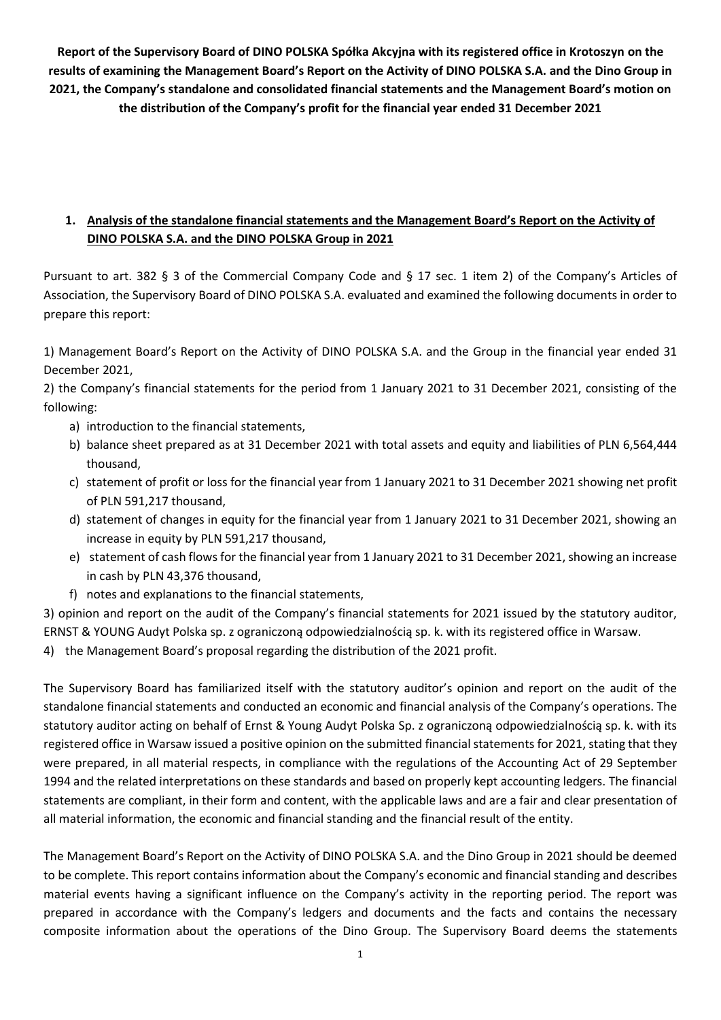**Report of the Supervisory Board of DINO POLSKA Spółka Akcyjna with its registered office in Krotoszyn on the results of examining the Management Board's Report on the Activity of DINO POLSKA S.A. and the Dino Group in 2021, the Company's standalone and consolidated financial statements and the Management Board's motion on the distribution of the Company's profit for the financial year ended 31 December 2021** 

## **1. Analysis of the standalone financial statements and the Management Board's Report on the Activity of DINO POLSKA S.A. and the DINO POLSKA Group in 2021**

Pursuant to art. 382 § 3 of the Commercial Company Code and § 17 sec. 1 item 2) of the Company's Articles of Association, the Supervisory Board of DINO POLSKA S.A. evaluated and examined the following documents in order to prepare this report:

1) Management Board's Report on the Activity of DINO POLSKA S.A. and the Group in the financial year ended 31 December 2021,

2) the Company's financial statements for the period from 1 January 2021 to 31 December 2021, consisting of the following:

- a) introduction to the financial statements,
- b) balance sheet prepared as at 31 December 2021 with total assets and equity and liabilities of PLN 6,564,444 thousand,
- c) statement of profit or loss for the financial year from 1 January 2021 to 31 December 2021 showing net profit of PLN 591,217 thousand,
- d) statement of changes in equity for the financial year from 1 January 2021 to 31 December 2021, showing an increase in equity by PLN 591,217 thousand,
- e) statement of cash flows for the financial year from 1 January 2021 to 31 December 2021, showing an increase in cash by PLN 43,376 thousand,
- f) notes and explanations to the financial statements,

3) opinion and report on the audit of the Company's financial statements for 2021 issued by the statutory auditor, ERNST & YOUNG Audyt Polska sp. z ograniczoną odpowiedzialnością sp. k. with its registered office in Warsaw.

4) the Management Board's proposal regarding the distribution of the 2021 profit.

The Supervisory Board has familiarized itself with the statutory auditor's opinion and report on the audit of the standalone financial statements and conducted an economic and financial analysis of the Company's operations. The statutory auditor acting on behalf of Ernst & Young Audyt Polska Sp. z ograniczoną odpowiedzialnością sp. k. with its registered office in Warsaw issued a positive opinion on the submitted financial statements for 2021, stating that they were prepared, in all material respects, in compliance with the regulations of the Accounting Act of 29 September 1994 and the related interpretations on these standards and based on properly kept accounting ledgers. The financial statements are compliant, in their form and content, with the applicable laws and are a fair and clear presentation of all material information, the economic and financial standing and the financial result of the entity.

The Management Board's Report on the Activity of DINO POLSKA S.A. and the Dino Group in 2021 should be deemed to be complete. This report contains information about the Company's economic and financial standing and describes material events having a significant influence on the Company's activity in the reporting period. The report was prepared in accordance with the Company's ledgers and documents and the facts and contains the necessary composite information about the operations of the Dino Group. The Supervisory Board deems the statements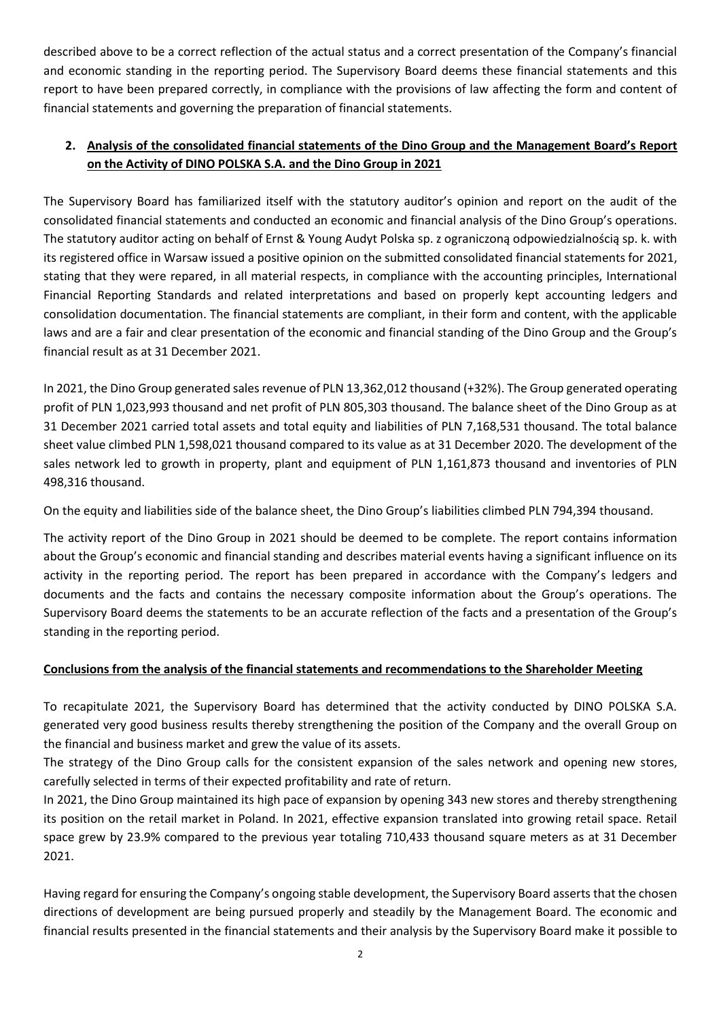described above to be a correct reflection of the actual status and a correct presentation of the Company's financial and economic standing in the reporting period. The Supervisory Board deems these financial statements and this report to have been prepared correctly, in compliance with the provisions of law affecting the form and content of financial statements and governing the preparation of financial statements.

## **2. Analysis of the consolidated financial statements of the Dino Group and the Management Board's Report on the Activity of DINO POLSKA S.A. and the Dino Group in 2021**

The Supervisory Board has familiarized itself with the statutory auditor's opinion and report on the audit of the consolidated financial statements and conducted an economic and financial analysis of the Dino Group's operations. The statutory auditor acting on behalf of Ernst & Young Audyt Polska sp. z ograniczoną odpowiedzialnością sp. k. with its registered office in Warsaw issued a positive opinion on the submitted consolidated financial statements for 2021, stating that they were repared, in all material respects, in compliance with the accounting principles, International Financial Reporting Standards and related interpretations and based on properly kept accounting ledgers and consolidation documentation. The financial statements are compliant, in their form and content, with the applicable laws and are a fair and clear presentation of the economic and financial standing of the Dino Group and the Group's financial result as at 31 December 2021.

In 2021, the Dino Group generated sales revenue of PLN 13,362,012 thousand (+32%). The Group generated operating profit of PLN 1,023,993 thousand and net profit of PLN 805,303 thousand. The balance sheet of the Dino Group as at 31 December 2021 carried total assets and total equity and liabilities of PLN 7,168,531 thousand. The total balance sheet value climbed PLN 1,598,021 thousand compared to its value as at 31 December 2020. The development of the sales network led to growth in property, plant and equipment of PLN 1,161,873 thousand and inventories of PLN 498,316 thousand.

On the equity and liabilities side of the balance sheet, the Dino Group's liabilities climbed PLN 794,394 thousand.

The activity report of the Dino Group in 2021 should be deemed to be complete. The report contains information about the Group's economic and financial standing and describes material events having a significant influence on its activity in the reporting period. The report has been prepared in accordance with the Company's ledgers and documents and the facts and contains the necessary composite information about the Group's operations. The Supervisory Board deems the statements to be an accurate reflection of the facts and a presentation of the Group's standing in the reporting period.

## **Conclusions from the analysis of the financial statements and recommendations to the Shareholder Meeting**

To recapitulate 2021, the Supervisory Board has determined that the activity conducted by DINO POLSKA S.A. generated very good business results thereby strengthening the position of the Company and the overall Group on the financial and business market and grew the value of its assets.

The strategy of the Dino Group calls for the consistent expansion of the sales network and opening new stores, carefully selected in terms of their expected profitability and rate of return.

In 2021, the Dino Group maintained its high pace of expansion by opening 343 new stores and thereby strengthening its position on the retail market in Poland. In 2021, effective expansion translated into growing retail space. Retail space grew by 23.9% compared to the previous year totaling 710,433 thousand square meters as at 31 December 2021.

Having regard for ensuring the Company's ongoing stable development, the Supervisory Board asserts that the chosen directions of development are being pursued properly and steadily by the Management Board. The economic and financial results presented in the financial statements and their analysis by the Supervisory Board make it possible to